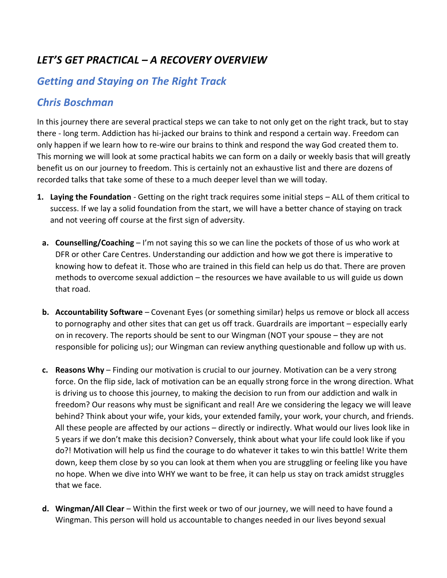## *LET'S GET PRACTICAL – A RECOVERY OVERVIEW*

## *Getting and Staying on The Right Track*

## *Chris Boschman*

In this journey there are several practical steps we can take to not only get on the right track, but to stay there - long term. Addiction has hi-jacked our brains to think and respond a certain way. Freedom can only happen if we learn how to re-wire our brains to think and respond the way God created them to. This morning we will look at some practical habits we can form on a daily or weekly basis that will greatly benefit us on our journey to freedom. This is certainly not an exhaustive list and there are dozens of recorded talks that take some of these to a much deeper level than we will today.

- **1. Laying the Foundation** Getting on the right track requires some initial steps ALL of them critical to success. If we lay a solid foundation from the start, we will have a better chance of staying on track and not veering off course at the first sign of adversity.
- **a. Counselling/Coaching** I'm not saying this so we can line the pockets of those of us who work at DFR or other Care Centres. Understanding our addiction and how we got there is imperative to knowing how to defeat it. Those who are trained in this field can help us do that. There are proven methods to overcome sexual addiction – the resources we have available to us will guide us down that road.
- **b.** Accountability Software Covenant Eyes (or something similar) helps us remove or block all access to pornography and other sites that can get us off track. Guardrails are important – especially early on in recovery. The reports should be sent to our Wingman (NOT your spouse – they are not responsible for policing us); our Wingman can review anything questionable and follow up with us.
- **c. Reasons Why**  Finding our motivation is crucial to our journey. Motivation can be a very strong force. On the flip side, lack of motivation can be an equally strong force in the wrong direction. What is driving us to choose this journey, to making the decision to run from our addiction and walk in freedom? Our reasons why must be significant and real! Are we considering the legacy we will leave behind? Think about your wife, your kids, your extended family, your work, your church, and friends. All these people are affected by our actions – directly or indirectly. What would our lives look like in 5 years if we don't make this decision? Conversely, think about what your life could look like if you do?! Motivation will help us find the courage to do whatever it takes to win this battle! Write them down, keep them close by so you can look at them when you are struggling or feeling like you have no hope. When we dive into WHY we want to be free, it can help us stay on track amidst struggles that we face.
- **d. Wingman/All Clear**  Within the first week or two of our journey, we will need to have found a Wingman. This person will hold us accountable to changes needed in our lives beyond sexual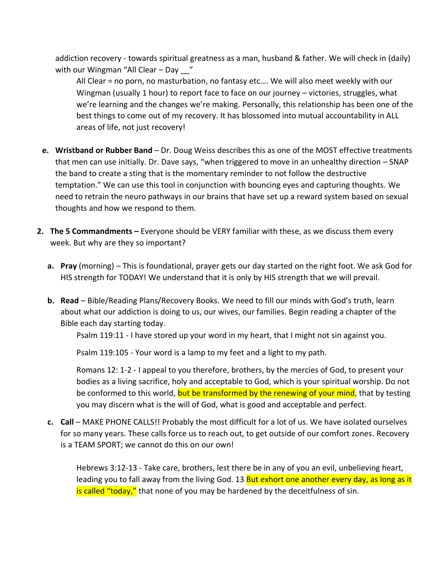addiction recovery - towards spiritual greatness as a man, husband & father. We will check in (daily) with our Wingman "All Clear - Day "

All Clear = no porn, no masturbation, no fantasy etc…. We will also meet weekly with our Wingman (usually 1 hour) to report face to face on our journey – victories, struggles, what we're learning and the changes we're making. Personally, this relationship has been one of the best things to come out of my recovery. It has blossomed into mutual accountability in ALL areas of life, not just recovery!

- **e. Wristband or Rubber Band**  Dr. Doug Weiss describes this as one of the MOST effective treatments that men can use initially. Dr. Dave says, "when triggered to move in an unhealthy direction – SNAP the band to create a sting that is the momentary reminder to not follow the destructive temptation." We can use this tool in conjunction with bouncing eyes and capturing thoughts. We need to retrain the neuro pathways in our brains that have set up a reward system based on sexual thoughts and how we respond to them.
- **2. The 5 Commandments –** Everyone should be VERY familiar with these, as we discuss them every week. But why are they so important?
	- **a. Pray** (morning) This is foundational, prayer gets our day started on the right foot. We ask God for HIS strength for TODAY! We understand that it is only by HIS strength that we will prevail.
	- **b. Read**  Bible/Reading Plans/Recovery Books. We need to fill our minds with God's truth, learn about what our addiction is doing to us, our wives, our families. Begin reading a chapter of the Bible each day starting today.

Psalm 119:11 - I have stored up your word in my heart, that I might not sin against you.

Psalm 119:105 - Your word is a lamp to my feet and a light to my path.

Romans 12: 1-2 - I appeal to you therefore, brothers, by the mercies of God, to present your bodies as a living sacrifice, holy and acceptable to God, which is your spiritual worship. Do not be conformed to this world, but be transformed by the renewing of your mind, that by testing you may discern what is the will of God, what is good and acceptable and perfect.

**c. Call** – MAKE PHONE CALLS!! Probably the most difficult for a lot of us. We have isolated ourselves for so many years. These calls force us to reach out, to get outside of our comfort zones. Recovery is a TEAM SPORT; we cannot do this on our own!

Hebrews 3:12-13 - Take care, brothers, lest there be in any of you an evil, unbelieving heart, leading you to fall away from the living God. 13 But exhort one another every day, as long as it is called "today," that none of you may be hardened by the deceitfulness of sin.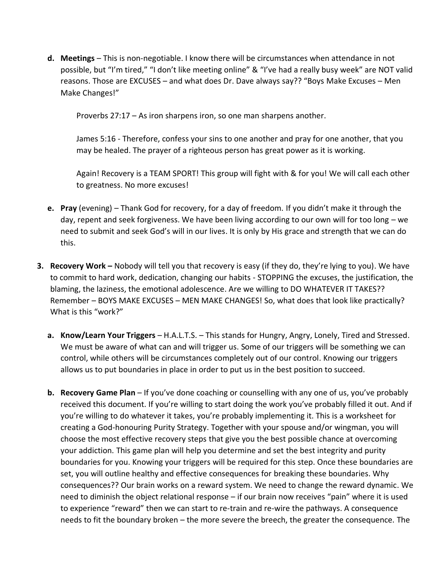**d. Meetings** – This is non-negotiable. I know there will be circumstances when attendance in not possible, but "I'm tired," "I don't like meeting online" & "I've had a really busy week" are NOT valid reasons. Those are EXCUSES – and what does Dr. Dave always say?? "Boys Make Excuses – Men Make Changes!"

Proverbs 27:17 – As iron sharpens iron, so one man sharpens another.

James 5:16 - Therefore, confess your sins to one another and pray for one another, that you may be healed. The prayer of a righteous person has great power as it is working.

Again! Recovery is a TEAM SPORT! This group will fight with & for you! We will call each other to greatness. No more excuses!

- **e. Pray** (evening) Thank God for recovery, for a day of freedom. If you didn't make it through the day, repent and seek forgiveness. We have been living according to our own will for too long – we need to submit and seek God's will in our lives. It is only by His grace and strength that we can do this.
- **3. Recovery Work –** Nobody will tell you that recovery is easy (if they do, they're lying to you). We have to commit to hard work, dedication, changing our habits - STOPPING the excuses, the justification, the blaming, the laziness, the emotional adolescence. Are we willing to DO WHATEVER IT TAKES?? Remember – BOYS MAKE EXCUSES – MEN MAKE CHANGES! So, what does that look like practically? What is this "work?"
	- **a. Know/Learn Your Triggers** H.A.L.T.S. This stands for Hungry, Angry, Lonely, Tired and Stressed. We must be aware of what can and will trigger us. Some of our triggers will be something we can control, while others will be circumstances completely out of our control. Knowing our triggers allows us to put boundaries in place in order to put us in the best position to succeed.
	- **b. Recovery Game Plan** If you've done coaching or counselling with any one of us, you've probably received this document. If you're willing to start doing the work you've probably filled it out. And if you're willing to do whatever it takes, you're probably implementing it. This is a worksheet for creating a God-honouring Purity Strategy. Together with your spouse and/or wingman, you will choose the most effective recovery steps that give you the best possible chance at overcoming your addiction. This game plan will help you determine and set the best integrity and purity boundaries for you. Knowing your triggers will be required for this step. Once these boundaries are set, you will outline healthy and effective consequences for breaking these boundaries. Why consequences?? Our brain works on a reward system. We need to change the reward dynamic. We need to diminish the object relational response – if our brain now receives "pain" where it is used to experience "reward" then we can start to re-train and re-wire the pathways. A consequence needs to fit the boundary broken – the more severe the breech, the greater the consequence. The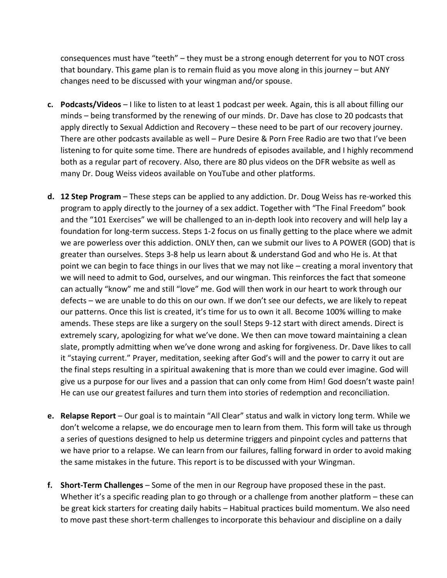consequences must have "teeth" – they must be a strong enough deterrent for you to NOT cross that boundary. This game plan is to remain fluid as you move along in this journey – but ANY changes need to be discussed with your wingman and/or spouse.

- **c. Podcasts/Videos** I like to listen to at least 1 podcast per week. Again, this is all about filling our minds – being transformed by the renewing of our minds. Dr. Dave has close to 20 podcasts that apply directly to Sexual Addiction and Recovery – these need to be part of our recovery journey. There are other podcasts available as well – Pure Desire & Porn Free Radio are two that I've been listening to for quite some time. There are hundreds of episodes available, and I highly recommend both as a regular part of recovery. Also, there are 80 plus videos on the DFR website as well as many Dr. Doug Weiss videos available on YouTube and other platforms.
- **d. 12 Step Program**  These steps can be applied to any addiction. Dr. Doug Weiss has re-worked this program to apply directly to the journey of a sex addict. Together with "The Final Freedom" book and the "101 Exercises" we will be challenged to an in-depth look into recovery and will help lay a foundation for long-term success. Steps 1-2 focus on us finally getting to the place where we admit we are powerless over this addiction. ONLY then, can we submit our lives to A POWER (GOD) that is greater than ourselves. Steps 3-8 help us learn about & understand God and who He is. At that point we can begin to face things in our lives that we may not like – creating a moral inventory that we will need to admit to God, ourselves, and our wingman. This reinforces the fact that someone can actually "know" me and still "love" me. God will then work in our heart to work through our defects – we are unable to do this on our own. If we don't see our defects, we are likely to repeat our patterns. Once this list is created, it's time for us to own it all. Become 100% willing to make amends. These steps are like a surgery on the soul! Steps 9-12 start with direct amends. Direct is extremely scary, apologizing for what we've done. We then can move toward maintaining a clean slate, promptly admitting when we've done wrong and asking for forgiveness. Dr. Dave likes to call it "staying current." Prayer, meditation, seeking after God's will and the power to carry it out are the final steps resulting in a spiritual awakening that is more than we could ever imagine. God will give us a purpose for our lives and a passion that can only come from Him! God doesn't waste pain! He can use our greatest failures and turn them into stories of redemption and reconciliation.
- **e. Relapse Report**  Our goal is to maintain "All Clear" status and walk in victory long term. While we don't welcome a relapse, we do encourage men to learn from them. This form will take us through a series of questions designed to help us determine triggers and pinpoint cycles and patterns that we have prior to a relapse. We can learn from our failures, falling forward in order to avoid making the same mistakes in the future. This report is to be discussed with your Wingman.
- **f. Short-Term Challenges**  Some of the men in our Regroup have proposed these in the past. Whether it's a specific reading plan to go through or a challenge from another platform – these can be great kick starters for creating daily habits – Habitual practices build momentum. We also need to move past these short-term challenges to incorporate this behaviour and discipline on a daily